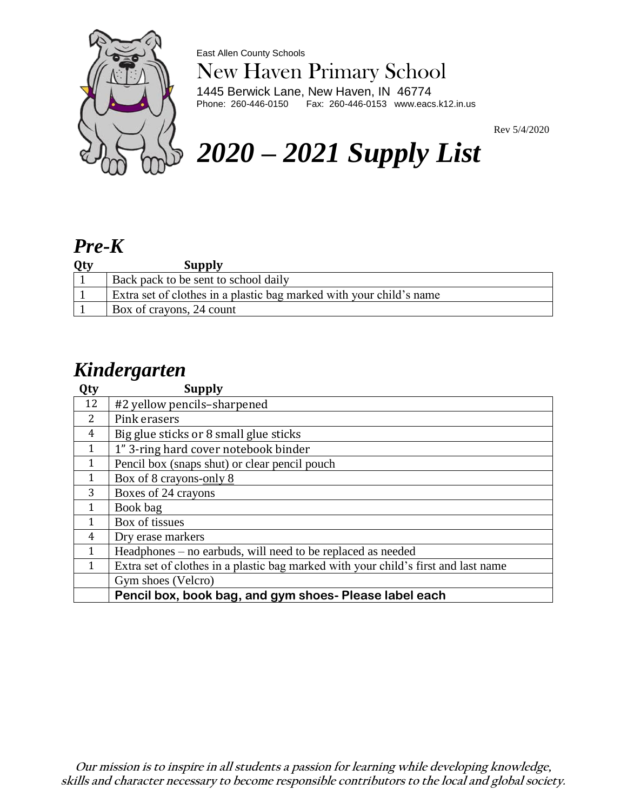

East Allen County Schools

# New Haven Primary School

1445 Berwick Lane, New Haven, IN 46774<br>Phone: 260-446-0150 Fax: 260-446-0153 www.eac: Fax: 260-446-0153 www.eacs.k12.in.us

# Rev 5/4/2020 *2020 – 2021 Supply List*

#### *Pre-K*

| Qty | <b>Supply</b>                                                       |
|-----|---------------------------------------------------------------------|
|     | Back pack to be sent to school daily                                |
|     | Extra set of clothes in a plastic bag marked with your child's name |
|     | Box of crayons, 24 count                                            |

#### *Kindergarten*

| Qty          | <b>Supply</b>                                                                      |
|--------------|------------------------------------------------------------------------------------|
| 12           | #2 yellow pencils-sharpened                                                        |
| 2            | Pink erasers                                                                       |
| 4            | Big glue sticks or 8 small glue sticks                                             |
| $\mathbf{1}$ | 1" 3-ring hard cover notebook binder                                               |
| $\mathbf{1}$ | Pencil box (snaps shut) or clear pencil pouch                                      |
| $\mathbf{1}$ | Box of 8 crayons-only 8                                                            |
| 3            | Boxes of 24 crayons                                                                |
| 1            | Book bag                                                                           |
| $\mathbf{1}$ | Box of tissues                                                                     |
| 4            | Dry erase markers                                                                  |
| $\mathbf{1}$ | Headphones – no earbuds, will need to be replaced as needed                        |
| 1            | Extra set of clothes in a plastic bag marked with your child's first and last name |
|              | Gym shoes (Velcro)                                                                 |
|              | Pencil box, book bag, and gym shoes- Please label each                             |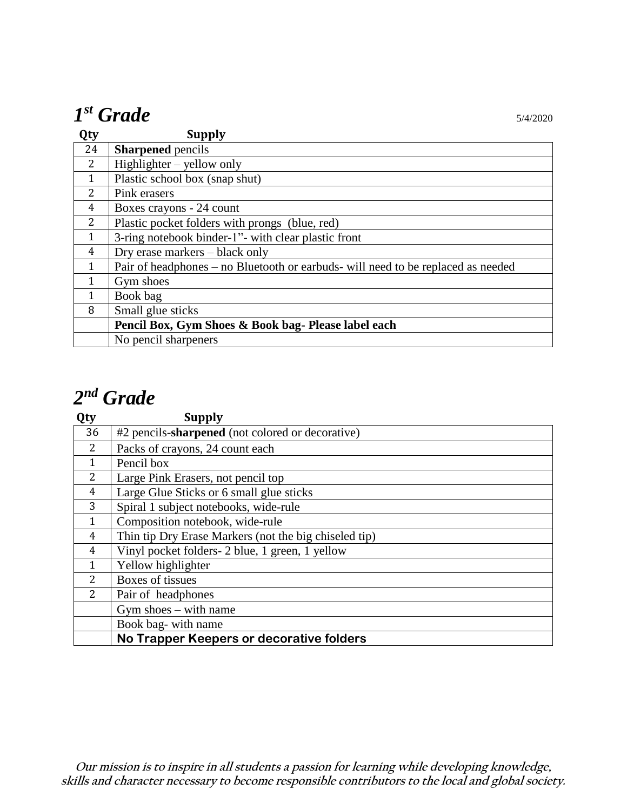# $I^{st}$  *Grade*  $\qquad \qquad$  5/4/2020

| Qty          | <b>Supply</b>                                                                    |
|--------------|----------------------------------------------------------------------------------|
| 24           | <b>Sharpened</b> pencils                                                         |
| 2            | $High lighter - yellow only$                                                     |
| $\mathbf{1}$ | Plastic school box (snap shut)                                                   |
| 2            | Pink erasers                                                                     |
| 4            | Boxes crayons - 24 count                                                         |
| 2            | Plastic pocket folders with prongs (blue, red)                                   |
| $\mathbf{1}$ | 3-ring notebook binder-1"- with clear plastic front                              |
| 4            | Dry erase markers – black only                                                   |
| $\mathbf{1}$ | Pair of headphones – no Bluetooth or earbuds- will need to be replaced as needed |
| 1            | Gym shoes                                                                        |
| $\mathbf{1}$ | Book bag                                                                         |
| 8            | Small glue sticks                                                                |
|              | Pencil Box, Gym Shoes & Book bag- Please label each                              |
|              | No pencil sharpeners                                                             |

## *nd Grade*

| Qty            | <b>Supply</b>                                         |
|----------------|-------------------------------------------------------|
| 36             | #2 pencils-sharpened (not colored or decorative)      |
| 2              | Packs of crayons, 24 count each                       |
| 1              | Pencil box                                            |
| $\overline{2}$ | Large Pink Erasers, not pencil top                    |
| $\overline{4}$ | Large Glue Sticks or 6 small glue sticks              |
| 3              | Spiral 1 subject notebooks, wide-rule                 |
| $\mathbf{1}$   | Composition notebook, wide-rule                       |
| 4              | Thin tip Dry Erase Markers (not the big chiseled tip) |
| 4              | Vinyl pocket folders- 2 blue, 1 green, 1 yellow       |
| 1              | Yellow highlighter                                    |
| 2              | Boxes of tissues                                      |
| 2              | Pair of headphones                                    |
|                | Gym shoes $-$ with name                               |
|                | Book bag- with name                                   |
|                | No Trapper Keepers or decorative folders              |